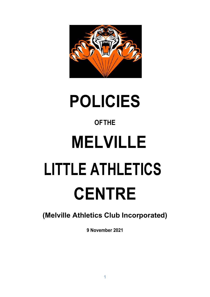



## **OF THE**

# MELVILLE LITTLE ATHLETICS **CENTRE**

(Melville Athletics Club Incorporated)

9 November 2021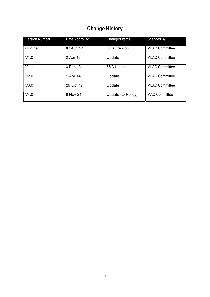## Change History

| <b>Version Number</b> | Date Approved | Changed Items          | Changed By            |
|-----------------------|---------------|------------------------|-----------------------|
| Original              | 07 Aug 12     | <b>Initial Version</b> | <b>MLAC Committee</b> |
| V1.0                  | 2 Apr 13      | Update                 | <b>MLAC Committee</b> |
| V1.1                  | 3 Dec 13      | 66.3 Update            | <b>MLAC Committee</b> |
| V2.0                  | 1 Apr 14      | Update                 | <b>MLAC Committee</b> |
| V3.0                  | 29 Oct 17     | Update                 | <b>MLAC Committee</b> |
| V4.0                  | 9 Nov 21      | Update (to Policy)     | <b>MAC Committee</b>  |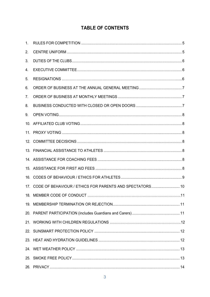## **TABLE OF CONTENTS**

| 1. |                                                              |  |
|----|--------------------------------------------------------------|--|
| 2. |                                                              |  |
| 3. |                                                              |  |
| 4. |                                                              |  |
| 5. |                                                              |  |
| 6. |                                                              |  |
| 7. |                                                              |  |
| 8. |                                                              |  |
| 9. |                                                              |  |
|    |                                                              |  |
|    |                                                              |  |
|    |                                                              |  |
|    |                                                              |  |
|    |                                                              |  |
|    |                                                              |  |
|    |                                                              |  |
|    | 17. CODE OF BEHAVIOUR / ETHICS FOR PARENTS AND SPECTATORS 10 |  |
|    |                                                              |  |
|    |                                                              |  |
|    |                                                              |  |
|    |                                                              |  |
|    |                                                              |  |
|    |                                                              |  |
|    |                                                              |  |
|    |                                                              |  |
|    |                                                              |  |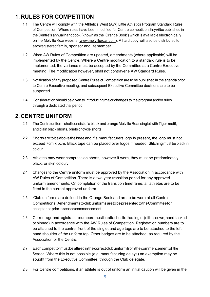## 1. RULES FOR COMPETITION

- 1.1. The Centre will comply with the Athletics West (AW) Little Athletics Program Standard Rules of Competition. Where rules have been modified for Centre competition, they will be published in the Centre's annual handbook (known as the 'Orange Book') which is available electronically on the Melville Roar website (www.melvilleroar.com). A hard copy will also be distributed to each registered family, sponsor and life member.
- 1.2. When AW Rules of Competition are updated, amendments (where applicable) will be implemented by the Centre. Where a Centre modification to a standard rule is to be implemented, the variance must be accepted by the Committee at a Centre Executive meeting. The modification however, shall not contravene AW Standard Rules.
- 1.3. Notification of any proposed Centre Rules of Competition are to be published in the agenda prior to Centre Executive meeting, and subsequent Executive Committee decisions are to be supported.
- 1.4. Consideration should be given to introducing major changes to the program and/or rules through a dedicated trial period.

#### 2. CENTRE UNIFORM

- 2.1. The Centre uniform shall consist of a black and orange Melville Roar singlet with Tiger motif, and plain black shorts, briefs or cycle shorts.
- 2.2. Shorts are to be above the knee and if a manufacturers logo is present, the logo must not exceed 7cm x 5cm. Black tape can be placed over logos if needed. Stitching must be black in colour.
- 2.3. Athletes may wear compression shorts, however if worn, they must be predominately black, or skin colour.
- 2.4. Changes to the Centre uniform must be approved by the Association in accordance with AW Rules of Competition. There is a two year transition period for any approved uniform amendments. On completion of the transition timeframe, all athletes are to be fitted in the current approved uniform.
- 2.5. Club uniforms are defined in the Orange Book and are to be worn at all Centre Competitions. Amendments to club uniforms are to be presented to the Committee for acceptance prior to season commencement.
- 2.6. Current age and registration numbers must be attached to the singlet (either sewn, hand tacked or pinned) in accordance with the AW Rules of Competition. Registration numbers are to be attached to the centre, front of the singlet and age tags are to be attached to the left hand shoulder of the uniform top. Other badges are to be attached, as required by the Association or the Centre.
- 2.7. Each competitor must be attired in the correct club uniform from the commencement of the Season. Where this is not possible (e.g. manufacturing delays) an exemption may be sought from the Executive Committee, through the Club delegate.
- 2.8. For Centre competitions, if an athlete is out of uniform an initial caution will be given in the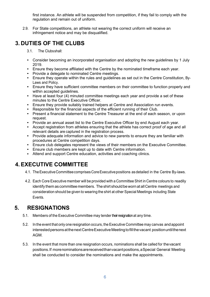first instance. An athlete will be suspended from competition, if they fail to comply with the regulation and remain out of uniform.

2.9. For State competitions, an athlete not wearing the correct uniform will receive an infringement notice and may be disqualified.

#### 3. DUTIES OF THE CLUBS

3.1. The Clubs shall:

- Consider becoming an incorporated organisation and adopting the new guidelines by 1 July 2019.
- Ensure they become affiliated with the Centre by the nominated timeframe each year.
- Provide a delegate to nominated Centre meetings.
- Ensure they operate within the rules and guidelines as set out in the Centre Constitution, By-
- Laws and Policy.<br>• Ensure they have sufficient committee members on their committee to function properly and within accepted guidelines.
- Have at least four (4) minuted committee meetings each year and provide a set of these minutes to the Centre Executive Officer.
- Ensure they provide suitably trained helpers at Centre and Association run events.
- Responsible for the financial aspects of the efficient running of their Club.
- Present a financial statement to the Centre Treasurer at the end of each season, or upon request.
- Provide an annual asset list to the Centre Executive Officer by end August each year.
- Accept registration from athletes ensuring that the athlete has correct proof of age and all relevant details are captured in the registration process. • Provide adequate information and advice to new parents to ensure they are familiar with
- procedures at Centre competition days.
- Ensure club delegates represent the views of their members on the Executive Committee.
- Ensure club members are kept up to date with Centre information.
- Attend and support Centre education, activities and coaching clinics.

#### 4. EXECUTIVE COMMITTEE

- 4.1. The Executive Committee comprises Core Executive positions as detailed in the Centre By-laws.
- 4.2. Each Core Executive member will be provided with a Committee Shirt in Centre colours to readily identify them as committee members. The shirt should be worn at all Centre meetings and consideration should be given to wearing the shirt at other Special Meetings including State Events.

#### 5. RESIGNATIONS

- 5.1. Members of the Executive Committee may tender their resignation at any time.
- 5.2. In the event that only one resignation occurs, the Executive Committee may canvas and appoint interested persons at the next Centre Executive Meeting to fill the vacant position until the next AGM.
- 5.3. In the event that more than one resignation occurs, nominations shall be called for the vacant positions. If more nominations are received than vacant positions, a Special General Meeting shall be conducted to consider the nominations and make the appointments.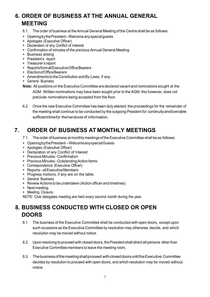## 6. ORDER OF BUSINESS AT THE ANNUAL GENERAL MEETING

- 6.1. The order of business at the Annual General Meeting of the Centre shall be as follows:
- Opening by the President Welcome any special guests
- Apologies (Executive Officer)
- Declaration of any Conflict of Interest
- Confirmation of minutes of the previous Annual General Meeting
- Business arising
- President's report
- Treasurer's report
- Reports from all Executive Office Bearers
- Election of Office Bearers
- Amendments to the Constitution and By-Laws, if any.
- General Business
- Note: All positions on the Executive Committee are declared vacant and nominations sought at the

AGM. Written nominations may have been sought prior to the AGM, this however, does not preclude nominations being accepted from the floor.

6.2. Once the new Executive Committee has been duly elected, the proceedings for the remainder of the meeting shall continue to be conducted by the outgoing President for continuity and to enable sufficient time for the handover of information.

## 7. ORDER OF BUSINESS AT MONTHLY MEETINGS

- 7.1. The order of business at monthly meetings of the Executive Committee shall be as follows:
- Opening by the President Welcome any special Guests
- Apologies (Executive Officer)
- Declaration of any Conflict of Interest
- Previous Minutes Confirmation
- Previous Minutes Outstanding Action Items
- Correspondence (Executive Officer)
- Reports all Executive Members
- Progress motions, if any are on the table.
- General Business
- Review Actions to be undertaken (Action officer and timelines)
- Next meeting
- Meeting Closure

NOTE: Club delegates meeting are held every second month during the year.

## 8. BUSINESS CONDUCTED WITH CLOSED OR OPEN DOORS

- 8.1. The business of the Executive Committee shall be conducted with open doors, except upon such occasions as the Executive Committee by resolution may otherwise decide, and which resolution may be moved without notice.
- 8.2. Upon resolving to proceed with closed doors, the President shall direct all persons other than Executive Committee members to leave the meeting room.
- 8.3. The business of the meeting shall proceed with closed doors until the Executive Committee decides by resolution to proceed with open doors, and which resolution may be moved without notice.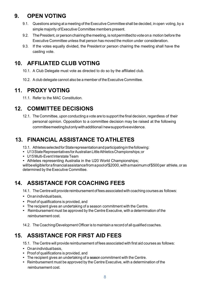## 9. OPEN VOTING

- 9.1. Questions arising at a meeting of the Executive Committee shall be decided, in open voting, by a simple majority of Executive Committee members present.
- 9.2. The President, or person chairing the meeting, is not permitted to vote on a motion before the Executive Committee unless that person has moved the motion under consideration.
- 9.3. If the votes equally divided, the President or person chairing the meeting shall have the casting vote.

## 10. AFFILIATED CLUB VOTING

- 10.1. A Club Delegate must vote as directed to do so by the affiliated club.
- 10.2. A club delegate cannot also be a member of the Executive Committee.

#### 11. PROXY VOTING

11.1. Refer to the MAC Constitution.

## 12. COMMITTEE DECISIONS

12.1. The Committee, upon conducting a vote are to support the final decision, regardless of their personal opinion. Opposition to a committee decision may be raised at the following committee meeting but only with additional / new supportive evidence.

## 13. FINANCIAL ASSISTANCE TO ATHLETES

- 13.1. Athletes selected for State representation and participating in the following:
- U13 State Representatives for Australian Little Athletics Championships; or
- U15 Multi-Event Interstate Team
- Athletes representing Australia in the U20 World Championships;

will be eligible for a financial assistance from a pool of \$2000, with a maximum of \$500 per athlete, or as determined by the Executive Committee.

## 14. ASSISTANCE FOR COACHING FEES

14.1. The Centre will provide reimbursement of fees associated with coaching courses as follows:

- On an individual basis,
- Proof of qualifications is provided, and
- The recipient gives an undertaking of a season commitment with the Centre.
- Reimbursement must be approved by the Centre Executive, with a determination of the reimbursement cost.
- 14.2. The Coaching/Development Officer is to maintain a record of all qualified coaches.

## 15. ASSISTANCE FOR FIRST AID FEES

15.1. The Centre will provide reimbursement of fees associated with first aid courses as follows:

- On an individual basis,
- Proof of qualifications is provided, and
- The recipient gives an undertaking of a season commitment with the Centre.
- Reimbursement must be approved by the Centre Executive, with a determination of the reimbursement cost.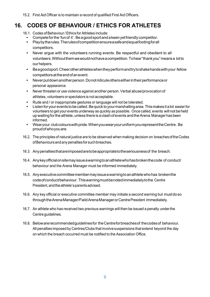## 16. CODES OF BEHAVIOUR / ETHICS FOR ATHLETES

- 16.1. Codes of Behaviour / Ethics for Athletes include:
	- Compete for the 'fun of it'. Be a good sport and a keen yet friendly competitor.
	- Play by the rules. The rules of competition ensure a safe and equal footing for all competitors.
	- Never argue with the volunteers running events. Be respectful and obedient to all volunteers. Without them we would not have a competition. To hear "thank you" means a lot to our helpers.
	- Be a good sport. Cheer other athletes when they perform and try to shake hands with your fellow competitors at the end of an event.
	- Never put down another person. Do not ridicule others either in their performance or personal appearance.
	- Never threaten or use violence against another person. Verbal abuse/provocation of athletes, volunteers or spectators is not acceptable.
	- Rude and / or inappropriate gestures or language will not be tolerated.
	- Listen for your events to be called. Be quick to your marshalling area. This makes it a lot easier for volunteers to get your events underway as quickly as possible. Once called, events will not be held up waiting for the athlete, unless there is a clash of events and the Arena Manager has been informed.
	- Wear your club colours with pride. When you wear your uniform you represent the Centre. Be proud of who you are.
- 16.2. The principles of natural justice are to be observed when making decision on breaches of the Codes of Behaviours and any penalties for such breaches.
- 16.3. Any penalties that are imposed are to be appropriate to the seriousness of the breach.
- 16.4. Any key official on site may issue a warning to an athlete who has broken the code of conduct/ behaviour and the Arena Manager must be informed immediately.
- 16.5. Any executive committee member may issue a warning to an athlete who has broken the code of conduct/behaviour. This warning must be noted immediately to the Centre President, and the athlete's parents advised.
- 16.6. Any key official or executive committee member may initiate a second warning but must do so through the Arena Manager/Field Arena Manager or Centre President immediately.
- 16.7. An athlete who has received two previous warnings will then be issued a penalty under the Centre guidelines.
- 16.8. Below are recommended guidelines for the Centre for breaches of the codes of behaviour. All penalties imposed by Centres/Clubs that involve suspensions that extend beyond the day on which the breach occurred must be notified to the Association Office.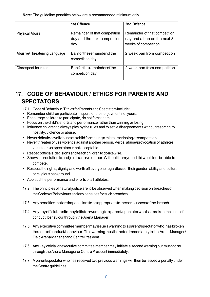Note: The guideline penalties below are a recommended minimum only.

|                              | <b>1st Offence</b>                                                    | 2nd Offence                                                                           |
|------------------------------|-----------------------------------------------------------------------|---------------------------------------------------------------------------------------|
| <b>Physical Abuse</b>        | Remainder of that competition<br>day and the next competition<br>day. | Remainder of that competition<br>day and a ban on the next 3<br>weeks of competition. |
| Abusive/Threatening Language | Ban for the remainder of the<br>competition day                       | 2 week ban from competition                                                           |
| Disrespect for rules         | Ban for the remainder of the<br>competition day.                      | 2 week ban from competition                                                           |

## 17. CODE OF BEHAVIOUR / ETHICS FOR PARENTS AND **SPECTATORS**

17.1. Code of Behaviour / Ethics for Parents and Spectators include:

- Remember children participate in sport for their enjoyment not yours.
- Encourage children to participate, do not force them.
- Focus on the child's efforts and performance rather than winning or losing.
- Influence children to always play by the rules and to settle disagreements without resorting to hostility, violence or abuse.
- Never ridicule or yell abuse at a child for making a mistake or losing at competition.
- Never threaten or use violence against another person. Verbal abuse/provocation of athletes, volunteers or spectators is not acceptable.
- Respect officials' decisions and teach children to do likewise.
- Show appreciation to and join in as a volunteer. Without them your child would not be able to compete.
- Respect the rights, dignity and worth off everyone regardless of their gender, ability and cultural or religious background.
- Applaud the performance and efforts of all athletes.
- 17.2. The principles of natural justice are to be observed when making decision on breaches of the Codes of Behaviours and any penalties for such breaches.
- 17.3. Any penalties that are imposed are to be appropriate to the seriousness of the breach.
- 17.4. Any key official on site may initiate a warning to a parent/spectator who has broken the code of conduct/ behaviour through the Arena Manager.
- 17.5. Any executive committee member may issue a warning to a parent/spectator who has broken the code of conduct/behaviour. This warning must be noted immediately to the Arena Manager / Field Arena Manager and Centre President. 17.6. Any key official or executive committee member may initiate a second warning but must do so
- through the Arena Manager or Centre President immediately.
- 17.7. A parent/spectator who has received two previous warnings will then be issued a penalty under the Centre guidelines.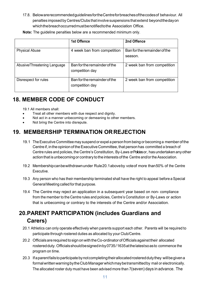17.8. Below are recommended guidelines for the Centre for breaches of the codes of behaviour. All penalties imposed by Centres/Clubs that involve suspensions that extend beyond the day on which the breach occurred must be notified to the Association Office.

|                              | <b>1st Offence</b>                              | 2nd Offence                             |
|------------------------------|-------------------------------------------------|-----------------------------------------|
| <b>Physical Abuse</b>        | 4 week ban from competition                     | Ban for the remainder of the<br>season. |
| Abusive/Threatening Language | Ban for the remainder of the<br>competition day | 2 week ban from competition             |
| Disrespect for rules         | Ban for the remainder of the<br>competition day | 2 week ban from competition             |

Note: The guideline penalties below are a recommended minimum only.

## 18. MEMBER CODE OF CONDUCT

19.1 All members shall:

- **•** Treat all other members with due respect and dignity.
- Not act in a manner unbecoming or demeaning to other members.
- Not bring the Centre into disrepute.

#### 19. MEMBERSHIP TERMINATION OR REJECTION

- 19.1 The Executive Committee may suspend or expel a person from being or becoming a member of the Centre if, in the opinion of the Executive Committee, that person has committed a breach of Centre rules and policies, the Centre's Constitution, By-Laws or Policies or, has undertaken any other action that is unbecoming or contrary to the interests of the Centre and/or the Association.
- 19.2 Membership can be withdrawn under Rule 20.1 above by vote of more than 50% of the Centre Executive.
- 19.3 Any person who has their membership terminated shall have the right to appeal before a Special General Meeting called for that purpose.
- 19.4 The Centre may reject an application in a subsequent year based on non- compliance from the member to the Centre rules and policies, Centre's Constitution or By-Laws or action that is unbecoming or contrary to the interests of the Centre and/or Association.

## 20. PARENT PARTICIPATION (includes Guardians and Carers)

- 20.1 Athletics can only operate effectively when parents support each other. Parents will be required to participate through rostered duties as allocated by your Club/Centre.
- 20.2 Officials are required to sign on with the Co-ordinator of Officials against their allocated rostered duty. Officials should be signed in by 0735 / 1635 at the latest so as to commence the program on time.
- 20.3 If a parent fails to participate by not completing their allocated rostered duty they will be given a formal written warning by the Club Manager which may be transmitted by mail or electronically. The allocated roster duty must have been advised more than 7(seven) days in advance. The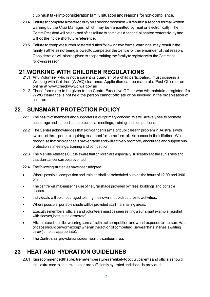club must take into consideration family situation and reasons for non-compliance.

- 20.4 Failure to complete a rostered duty on a second occasion will result in a second formal written warning by the Club Manager, which may be transmitted by mail or electronically. The Centre President will be advised of the failure to complete a second allocated rostered duty and will log the incident for future reference.
- 20.5 Failure to complete further rostered duties following two formal warnings, may result in the family's athletes not being allowed to compete at the Centre for the remainder of that season. Consideration will also be given to not permitting the family to register with the Centre the following season.

## 21. WORKING WITH CHILDREN REGULATIONS

- 21.1 Any Volunteer who is not a parent or guardian of a child participating, must possess a Working with Children (WWC) clearance. Application can be made at a Post Office or on online at www.checkwwwc.wa.gov.au
- 21.2 These forms are to be given to the Centre Executive Officer who will maintain a register. If a WWC clearance is not held the person cannot officiate or be involved in the organisation of children.

## 22. SUNSMART PROTECTION POLICY

- 22.1 The health of members and supporters is our primary concern. We will actively see to promote, encourage and support sun protection at meetings, training and competitions.
- 22.2 The Centre acknowledges that skin cancer is a major public health problem in Australia with two out of three people requiring treatment for some form of skin cancer in their lifetime. We recognise that skin cancer is preventable and will actively promote, encourage and support sun protection at meetings, training and competition.
- 22.3 The Melville Athletics Club is aware that children are especially susceptible to the sun's rays and that skin cancer can be prevented
- 22.4 The following strategies have been adopted:
- Where possible, competition and training shall be scheduled outside the hours of 12:00 and 3:00 pm.
- The centre will maximise the use of natural shade provided by trees, buildings and portable shades.
- Individuals will be encouraged to bring their own shade structures to activities.
- Where possible, portable shade will be provided at all marshalling areas.
- Executive members, officials and volunteers must be seen setting a sun smart example (eg shirt with sleeves, hats, sunglasses etc)
- All athletes should be wearing sun safe attire at competition and whilst exposed to the sun. Hats or caps should be worn except when in the action of competing. (ie wear hats in lines awaiting throw/jump as appropriate).
- The Centre shall provide sunscreen near the canteen area.

## 23 HEAT AND HYDRATION GUIDELINES

23.1 It is recommended that if extreme temperatures are likely to occur, parents and officials should take extra care to ensure athletes are sufficiently hydrated and shade is provided.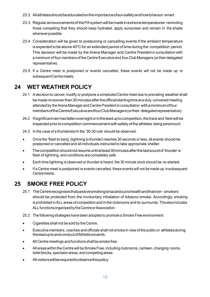- 23.2 All athletes should be educated on the importance of sun safety and how to be sun smart.
- 23.3 Regular announcements of the PA system will be made in extreme temperatures reminding those competing that they should keep hydrated, apply sunscreen and remain in the shade wherever possible.
- 23.4 Consideration will be given to postponing or cancelling events if the ambient temperature is expected to be above  $40^{\circ}$ C for an extended period of time during the competition period. This decision will be made by the Arena Manager and Centre President in consultation with a minimum of four members of the Centre Executive and four Club Managers (or their delegated representative).
- 23.5 If a Centre meet is postponed or events cancelled, these events will not be made up in subsequent Centre meets.

#### 24 WET WEATHER POLICY

- 24.1 A decision to cancel, modify or postpone a scheduled Centre meet due to prevailing weather shall be made no sooner than 30 minutes after the official starting time at a duly convened meeting attended by the Arena Manager and Centre President in consultation with a minimum of four members of the Centre Executive and four Club Managers (or their delegated representative).
- 24.2 If significant rain has fallen overnight or in the lead up to competition, the track and field will be inspected prior to competition commencement with safety of the athletes being paramount.
- 24.3 In the case of a thunderstorm the '30-30 rule' should be observed:
- Once the 'flash to bang' (lightning to thunder) reaches 30 seconds or less, all events should be postponed or cancelled and all individuals instructed to take appropriate shelter.
- The competition should not resume until at least 30 minutes after the last sound of thunder or flash of lightning, and conditions are completely safe.
- Each time lightning is observed or thunder is heard, the 30 minute clock should be re-started.
- If a Centre meet is postponed or events cancelled, these events will not be made up in subsequent Centre meets.

## 25 SMOKE FREE POLICY

- 25.1 The Centre recognises that passive smoking is hazardous to health and that non-smokers should be protected from the involuntary inhalation of tobacco smoke. Accordingly, smoking is prohibited in ALL areas of competition and in the clubrooms and its surrounds. This also includes ALL functions organised by the Centre or Association.
- 25.2 The following strategies have been adopted to promote a Smoke Free environment:
- Cigarettes shall not be sold by the Centre.
- Executive members, coaches and officials shall not smoke in view of the public or athletes during the lead up to and conduct of Athletics events.
- All Centre meetings and functions shall be smoke free.
- All areas within the Centre will be Smoke Free, including clubrooms, canteen, changing rooms, toilet blocks, spectator areas, and competing areas.
- All visitors will be required to observe this policy.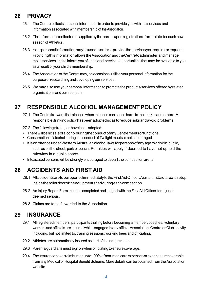## 26 PRIVACY

- 26.1 The Centre collects personal information in order to provide you with the services and information associated with membership of the Association.
- 26.2 The information collected is supplied by the parent upon registration of an athlete for each new season of Athletics.
- 26.3 Your personal information may be used in order to provide the services you require or request. Providing this information allows the Association and the Centre to administer and manage those services and to inform you of additional services/opportunities that may be available to you as a result of your child's membership.
- 26.4 The Association or the Centre may, on occasions, utilise your personal information for the purpose of researching and developing our services.
- 26.5 We may also use your personal information to promote the products/services offered by related organisations and our sponsors.

## 27 RESPONSIBLE ALCOHOL MANAGEMENT POLICY

- 27.1 The Centre is aware that alcohol, when misused can cause harm to the drinker and others. A responsible drinking policy has been adopted so as to reduce risks and avoid problems.
- 27.2 The following strategies have been adopted:
- There will be no sale of alcohold uring the conduct of any Centre meets or functions.
- Consumption of alcohol during the conduct of Twilight meets is not encouraged.
- It is an offence under Western Australian alcohol laws for persons of any age to drink in public, such as on the street, park or beach. Penalties will apply if deemed to have not upheld the rules/law in a public space. • Intoxicated persons will be strongly encouraged to depart the competition arena.
- 

## 28 ACCIDENTS AND FIRST AID

- 28.1 All accidents are to be reported immediately to the First Aid Officer. A small first aid area is set up inside the roller door of the equipment shed during each competition.
- 28.2 An Injury Report Form must be completed and lodged with the First Aid Officer for injuries deemed serious.
- 28.3 Claims are to be forwarded to the Association.

## 29 INSURANCE

- 29.1 All registered members, participants trialling before becoming a member, coaches, voluntary workers and officials are insured whilst engaged in any official Association, Centre or Club activity including, but not limited to, training sessions, working bees and officiating.
- 29.2 Athletes are automatically insured as part of their registration.
- 29.3 Parents/guardians must sign on when officiating to ensure coverage.
- 29.4 The insurance cover reimburses up to 100% of non-medicare expenses or expenses recoverable from any Medical or Hospital Benefit Scheme. More details can be obtained from the Association website.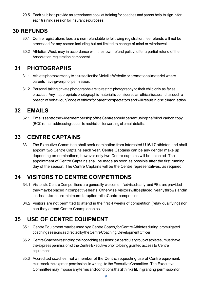29.5 Each club is to provide an attendance book at training for coaches and parent help to sign in for each training session for insurance purposes.

## 30 REFUNDS

- 30.1 Centre registrations fees are non-refundable ie following registration, fee refunds will not be processed for any reason including but not limited to change of mind or withdrawal.
- 30.2 Athletics West, may in accordance with their own refund policy, offer a partial refund of the Association registration component.

## 31 PHOTOGRAPHS

- 31.1 Athlete photos are only to be used for the Melville Website or promotional materiel where parents have given prior permission.
- 31.2 Personal taking private photographs are to restrict photography to their child only as far as practical. Any inappropriate photographic material is considered an ethical issue and as such a breach of behaviour / code of ethics for parent or spectators and will result in disciplinary action.

#### 32 EMAILS

32.1 Emails sent to the wider membership of the Centre should be sent using the 'blind carbon copy' (BCC) email addressing option to restrict on forwarding of email details.

## 33 CENTRE CAPTAINS

33.1 The Executive Committee shall seek nomination from interested U16/17 athletes and shall appoint two Centre Captains each year. Centre Captains can be any gender make up depending on nominations, however only two Centre captains will be selected. The appointment of Centre Captains shall be made as soon as possible after the first running day of the season. The Centre Captains will be the Centre representatives, as required.

## 34 VISITORS TO CENTRE COMPETITIONS

- 34.1 Visitors to Centre Competitions are generally welcome. If advised early, and PB's are provided they may be placed in competitive heats. Otherwise, visitors will be placed in early throws and in last heats to ensure minimum disruption to the Centre competition.
- 34.2 Visitors are not permitted to attend in the first 4 weeks of competition (relay qualifying) nor can they attend Centre Championships.

## 35 USE OF CENTRE EQUIPMENT

- 35.1 Centre Equipment may be used by a Centre Coach, for Centre Athletes during promulgated coaching sessions as directed by the Centre Coaching/Development Officer.
- 35.2 Centre Coaches restricting their coaching sessions to a particular group of athletes, must have the express permission of the Centre Executive prior to being granted access to Centre equipment.
- 35.3 Accredited coaches, not a member of the Centre, requesting use of Centre equipment, must seek the express permission, in writing, to the Executive Committee. The Executive Committee may impose any terms and conditions that it thinks fit, in granting permission for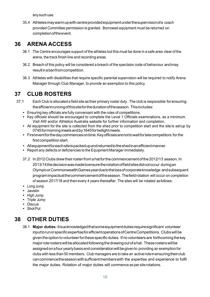any such use.

35.4 Athletes may warm up with centre provided equipment under the supervision of a coach provided Committee permission is granted. Borrowed equipment must be returned on completion of the event.

#### 36 ARENA ACCESS

- 36.1 The Centre encourages support of the athletes but this must be done in a safe area clear of the arena, the track finish line and recording areas.
- 36.2 Breach of this policy will be considered a breach of the spectator code of behaviour and may result in a ban from competition.
- 36.3 Athletes with disabilities that require specific parental supervision will be required to notify Arena Manager through Club Manager, to provide an exemption to this policy.

## 37 CLUB ROSTERS

- 37.1 Each Club is allocated a field site as their primary roster duty. The club is responsible for ensuring the efficient running of this site for the duration of the season. This includes:
	- Ensuring key officials are fully conversant with the rules of competitions.
	- Key officials should be encouraged to complete the Level 1 Officials examinations, as a minimum. Visit AW and/or Athletics Australia website for further information and completion.
	- All equipment for the site is collected from the shed prior to competition start and the site is setup by 0745 for morning meets and by 1645 for twilight meets.
	- First event for the day commences on time. Key officials are not to wait for late competitors for the first competition start.
	- All equipment for each site is packed up and returned to the shed in an efficient manner.
	- Report any defects or deficiencies to the Equipment Manager immediately.
	- 37.2 In 2012 Clubs drew their roster from a hat for the commencement of the 2012/13 season. In 2013/14 the decision was made to ensure the rotation of field sites did not occur during an Olympic or Commonwealth Games year due to the loss of corporate knowledge and subsequent program impacts at the commencement of the season. The field rotation will occur on completion of season 2017/18 and then every 4 years thereafter. The sites will be rotated as follows:
	- Long Jump
	- Javelin
	- High Jump
	- Triple Jump
	- Discus
	- Shot Put

## 38 OTHER DUTIES

38.1 Major duties-Itisacknowledged that some equipment duties require significant volunteer input to run or specific expertise for efficient operations of Centre Competitions. Clubs will be given the option to volunteer for these specific duties. If no volunteers are forthcoming the key major role rosters will be allocated following the drawing out of a hat. These rosters will be assigned on a four yearly basis and consideration will be given to providing an exemption for clubs with less than 50 members. Club managers are to take an active role in ensuring their club can commence the season with sufficient members with the expertise and experience to fulfil the major duties. Rotation of major duties will commence as per site rotations.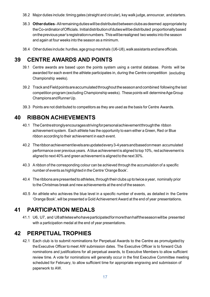- 38.2 Major duties include: timing gates (straight and circular), key walk judge, announcer, and starters.
- 38.3 Other duties All remaining duties will be distributed between clubs as deemed appropriate by the Co-ordinator of Officials. Initial distribution of duties will be distributed proportionally based on the previous year's registration numbers. This will be realigned two weeks into the season and again at four weeks into the season as a minimum.
- 38.4 Other duties include: hurdles, age group marshals (U6-U8), walk assistants and lane officials.

#### 39 CENTRE AWARDS AND POINTS

- 39.1 Centre awards are based upon the points system using a central database. Points will be awarded for each event the athlete participates in, during the Centre competition (excluding Championship weeks).
- 39.2 Track and Field points are accumulated throughout the season and combined following the last competition program (excluding Championship weeks). These points will determine Age Group Champions and Runner Up.
- 39.3 Points are not distributed to competitors as they are used as the basis for Centre Awards.

#### 40 RIBBON ACHIEVEMENTS

- 40.1 The Centre strongly encourages striving for personal achievement through the ribbon achievement system. Each athlete has the opportunity to earn either a Green, Red or Blue ribbon according to their achievement in each event.
- 40.2 The ribbon achievement levels are updated every 3-4 years and based on mean accumulated performance over previous years. A blue achievement is aligned to top 10%, red achievement is aligned to next 40% and green achievement is aligned to the next 30%.
- 40.3 A ribbon of the corresponding colour can be achieved through the accumulation of a specific number of events as highlighted in the Centre 'Orange Book'.
- 40.4 The ribbons are presented to athletes, through their clubs up to twice a year, nominally prior to the Christmas break and new achievements at the end of the season.
- 40.5 An athlete who achieves the blue level in a specific number of events, as detailed in the Centre 'Orange Book', will be presented a Gold Achievement Award at the end of year presentations.

## 41 PARTICIPATION MEDALS

41.1 U6, U7, and U8 athletes who have participated for more than half the season will be presented with a participation medal at the end of year presentations.

## 42 PERPETUAL TROPHIES

42.1 Each club is to submit nominations for Perpetual Awards to the Centre as promulgated by the Executive Officer to meet AW submission dates. The Executive Officer is to forward Club nominations and justifications for all perpetual awards, to Executive Members to allow sufficient review time. A vote for nominations will generally occur in the first Executive Committee meeting scheduled for February, to allow sufficient time for appropriate engraving and submission of paperwork to AW.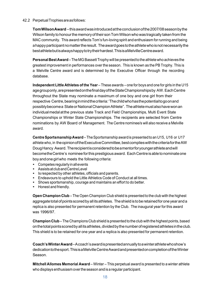#### 42.2 Perpetual Trophies are as follows:

Tom Wilson Award – this award was introduced at the conclusion of the 2007/08 season by the Wilson family to honour the memory of their son Tom Wilson who was tragically taken from the MAC community. This award reflects Tom's fun-loving spirit and enthusiasm for running and being a happy participant no matter the result. The award goes to the athlete who is not necessarily the best athlete but is always happy to try their hardest. This is a Melville Centre award.

Personal Best Award – The MG Bassett Trophy will be presented to the athlete who achieves the greatest improvement in performances over the season. This is known as the PB Trophy. This is a Melville Centre award and is determined by the Executive Officer through the recording database.

Independent Little Athletes of the Year – These awards – one for boys and one for girls in the U15 age group only, are presented on the final day of the State Championships by AW. Each Centre throughout the State may nominate a maximum of one boy and one girl from their respective Centre, bearing in mind the criteria: 'The child who has the potential to go on and possibly become a State or National Champion Athlete". The athlete must also have won an individual medal at the previous state Track and Field Championships, Multi Event State Championships or Winter State Championships. The recipients are selected from Centre nominations by AW Board of Management. The Centre nominee/s will also receive a Melville award.

Centre Sportsmanship Award – The Sportsmanship award is presented to an U15, U16 or U17 athlete who, in the opinion of the Executive Committee, best complies with the criteria for the AW Doug Hancy Award. The recipient is considered to be a mentor for younger athlete and will become the Centre's nominee for this prestigious award. Each Centre is able to nominate one boy and one girl who meets the following criteria:

- Competes regularly in all events
- Assists at club and Centre Level
- Is respected by other athletes, officials and parents.
- Endeavours to uphold the Little Athletics Code of Conduct at all times.
- Shows sportsmanship, courage and maintains an effort to do better.
- Honest and friendly.

Open Champion Club – The Open Champion Club shield is presented to the club with the highest aggregate total of points scored by all its athletes. The shield is to be retained for one year and a replica is also presented for permanent retention by the Club. The inaugural year for this award was 1996/97.

Champion Club – The Champions Club shield is presented to the club with the highest points, based on the total points scored by all its athletes, divided by the number of registered athletes in the club. This shield is to be retained for one year and a replica is also presented for permanent retention.

Coach's Winter Award – A coach's award is presented annually to a winter athlete who show's dedication to the sport. This is a Melville Centre Award and presented on completion of the Winter Season.

Mitchell Allomes Memorial Award – Winter – This perpetual award is presented to a winter athlete who displays enthusiasm over the season and is a regular participant.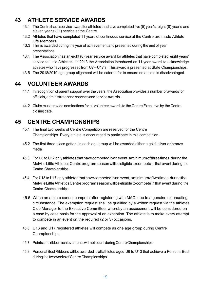## 43 ATHLETE SERVICE AWARDS

- 43.1 The Centre has a service award for athletes that have completed five (5) year's, eight (8) year's and eleven year's (11) service at the Centre.
- 43.2 Athletes that have completed 11 years of continuous service at the Centre are made Athlete Life Members.
- 43.3 This is awarded during the year of achievement and presented during the end of year presentations.
- 43.4 The Association has an eight (8) year service award for athletes that have completed eight years' service to Little Athletics. In 2013 the Association introduced an 11 year award to acknowledge athletes who have progressed from U7 – U17's. This award is presented at State Championships.
- 43.5 The 2018/2019 age group alignment will be catered for to ensure no athlete is disadvantaged.

## 44 VOLUNTEER AWARDS

- 44.1 In recognition of parent support over the years, the Association provides a number of awards for officials, administrator and coaches and service awards.
- 44.2 Clubs must provide nominations for all volunteer awards to the Centre Executive by the Centre closing date.

## 45 CENTRE CHAMPIONSHIPS

- 45.1 The final two weeks of Centre Competition are reserved for the Centre Championships. Every athlete is encouraged to participate in this competition.
- 45.2 The first three place getters in each age group will be awarded either a gold, silver or bronze medal.
- 45.3 For U6 to U12 only athletes that have competed in an event, a minimum of three times, during the Melville Little Athletics Centre program season will be eligible to compete in that event during the Centre Championships.
- 45.4 For U13 to U17 only athletes that have competed in an event, a minimum of two times, during the Melville Little Athletics Centre program season will be eligible to compete in that event during the Centre Championships.
- 45.5 When an athlete cannot compete after registering with MAC, due to a genuine extenuating circumstance. The exemption request shall be qualified by a written request via the athletes Club Manager to the Executive Committee, whereby an assessment will be considered on a case by case basis for the approval of an exception. The athlete is to make every attempt to compete in an event on the required (2 or 3) occasions.
- 45.6 U16 and U17 registered athletes will compete as one age group during Centre Championships.
- 45.7 Points and ribbon achievements will not count during Centre Championships.
- 45.8 Personal Best Ribbons will be awarded to all athletes aged U6 to U13 that achieve a Personal Best during the two weeks of Centre Championships.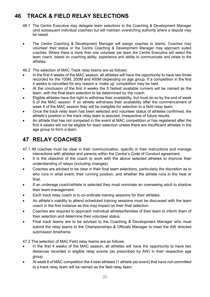## 46 TRACK & FIELD RELAY SELECTIONS

- 46.1 The Centre Executive may delegate team selections to the Coaching & Development Manager (and subsequent individual coaches) but will maintain overarching authority where a dispute may be raised.
- The Centre Coaching & Development Manager will assign coaches to teams. Coaches may volunteer their status or the Centre Coaching & Development Manager may approach suited coaches. Where there is more than one volunteer per team the Centre Executive will select the team coach, based on coaching ability, experience and ability to communicate and relate to the athletes.

46.2 The selection of MAC Track relay teams are as follows:

- In the first 4 weeks of the MAC season, all athletes will have the opportunity to have two times recorded for the 100M, 200M and 400M depending on age group. If a competition in the first 4 weeks is cancelled for any reason a 'make up' competition may be held.
- At the conclusion of the first 4 weeks the 5 fastest available runners will be named as the team, with the final team selection to be determined by the coach.
- Eligible athletes have the right to withdraw their availability, but must do so by the end of week 5 of the MAC season. If an athlete withdraws their availability after the commencement of week 6 of the MAC season they will be ineligible for selection to a field relay team.
- Once the track relay team has been selected and volunteer status of athletes confirmed, the athlete's position in the track relay team is assured, irrespective of future results.
- An athlete that has not competed in the event at MAC competition or has registered after the first 4 weeks will not be eligible for team selection unless there are insufficient athletes in the age group to form a team.

## 47 RELAY COACHES

- 47.1 All coaches must be clear in their communication, specific in their instructions and manage interactions with athletes and parents within the Centre's Code of Conduct agreement.
- It is the objective of the coach to work with the above selected athletes to improve their understanding of relays (including changes).
- Coaches are advised to be clear in their final team selections, particularly the discretion as to who runs in what event, their running position, and whether the athlete runs in the heat or final.
- If an underage coach/athlete is selected they must nominate an overseeing adult to shadow their team management.
- Each track relay coach is to co-ordinate training sessions for their athletes.
- An athlete's inability to attend scheduled training sessions must be discussed with the team coach in the first instance as this may impact on their final selection.
- Coaches are required to approach individual athletes/families of their team to inform them of their selection and determine their volunteer status.
- Final track teams are to be advised to the Coaching & Development Manager who must submit the relay teams to the Championships & Officials Manager to meet the AW directed submission timeframe.

47.2 The selection of MAC Field relay teams are as follows:

- In the first 4 weeks of the MAC season, all athletes will have the opportunity to have two distances recorded in eligible relay events (as prescribed by AW) in their respective age group.
- At week 6 of MAC competition the 4 best athletes (1 athlete per event) that have not committed to a track relay team will be named as the field relay team.